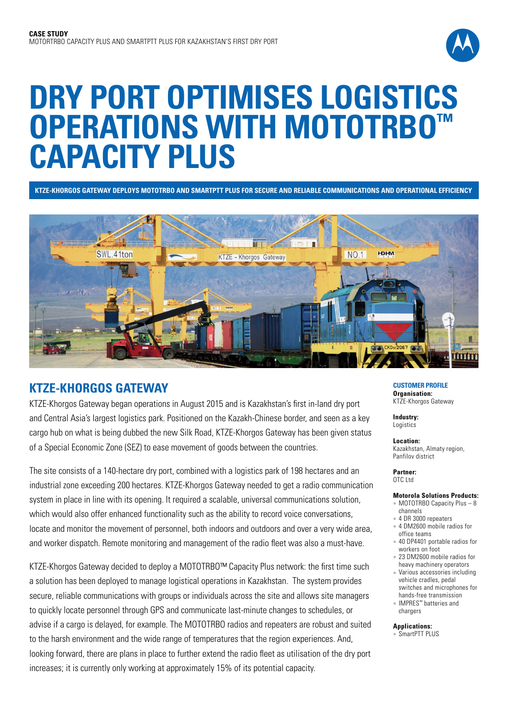

# **DRY PORT OPTIMISES LOGISTICS OPERATIONS WITH MOTOTRBO™ CAPACITY PLUS**

**KTZE-KHORGOS GATEWAY DEPLOYS MOTOTRBO AND SMARTPTT PLUS FOR SECURE AND RELIABLE COMMUNICATIONS AND OPERATIONAL EFFICIENCY**



## **KTZE-KHORGOS GATEWAY**

KTZE-Khorgos Gateway began operations in August 2015 and is Kazakhstan's first in-land dry port and Central Asia's largest logistics park. Positioned on the Kazakh-Chinese border, and seen as a key cargo hub on what is being dubbed the new Silk Road, KTZE-Khorgos Gateway has been given status of a Special Economic Zone (SEZ) to ease movement of goods between the countries.

The site consists of a 140-hectare dry port, combined with a logistics park of 198 hectares and an industrial zone exceeding 200 hectares. KTZE-Khorgos Gateway needed to get a radio communication system in place in line with its opening. It required a scalable, universal communications solution, which would also offer enhanced functionality such as the ability to record voice conversations, locate and monitor the movement of personnel, both indoors and outdoors and over a very wide area, and worker dispatch. Remote monitoring and management of the radio fleet was also a must-have.

KTZE-Khorgos Gateway decided to deploy a MOTOTRBO™ Capacity Plus network: the first time such a solution has been deployed to manage logistical operations in Kazakhstan. The system provides secure, reliable communications with groups or individuals across the site and allows site managers to quickly locate personnel through GPS and communicate last-minute changes to schedules, or advise if a cargo is delayed, for example. The MOTOTRBO radios and repeaters are robust and suited to the harsh environment and the wide range of temperatures that the region experiences. And, looking forward, there are plans in place to further extend the radio fleet as utilisation of the dry port increases; it is currently only working at approximately 15% of its potential capacity.

#### **CUSTOMER PROFILE Organisation:** KTZE-Khorgos Gateway

**Industry:** Logistics

**Location:** Kazakhstan, Almaty region, Panfilov district

#### **Partner:** OTC Ltd

### **Motorola Solutions Products:**

- $\bullet$  MOTOTRBO Capacity Plus 8 channels
- 4 DR 3000 repeaters • 4 DM2600 mobile radios for
- office teams • 40 DP4401 portable radios for
- workers on foot
- 23 DM2600 mobile radios for heavy machinery operators <sup>l</sup> Various accessories including
- vehicle cradles, pedal switches and microphones for hands-free transmission
- <sup>l</sup> IMPRES™ batteries and chargers

**Applications:**  SmartPTT PLUS